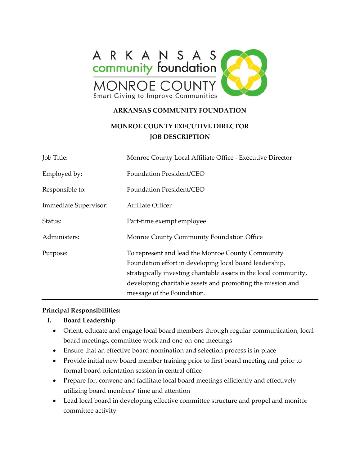

#### **ARKANSAS COMMUNITY FOUNDATION**

# **MONROE COUNTY EXECUTIVE DIRECTOR JOB DESCRIPTION**

| Job Title:            | Monroe County Local Affiliate Office - Executive Director                                                                                                                                                                                                                     |
|-----------------------|-------------------------------------------------------------------------------------------------------------------------------------------------------------------------------------------------------------------------------------------------------------------------------|
| Employed by:          | Foundation President/CEO                                                                                                                                                                                                                                                      |
| Responsible to:       | Foundation President/CEO                                                                                                                                                                                                                                                      |
| Immediate Supervisor: | Affiliate Officer                                                                                                                                                                                                                                                             |
| Status:               | Part-time exempt employee                                                                                                                                                                                                                                                     |
| Administers:          | Monroe County Community Foundation Office                                                                                                                                                                                                                                     |
| Purpose:              | To represent and lead the Monroe County Community<br>Foundation effort in developing local board leadership,<br>strategically investing charitable assets in the local community,<br>developing charitable assets and promoting the mission and<br>message of the Foundation. |

#### **Principal Responsibilities:**

#### **I. Board Leadership**

- Orient, educate and engage local board members through regular communication, local board meetings, committee work and one-on-one meetings
- Ensure that an effective board nomination and selection process is in place
- Provide initial new board member training prior to first board meeting and prior to formal board orientation session in central office
- Prepare for, convene and facilitate local board meetings efficiently and effectively utilizing board members' time and attention
- Lead local board in developing effective committee structure and propel and monitor committee activity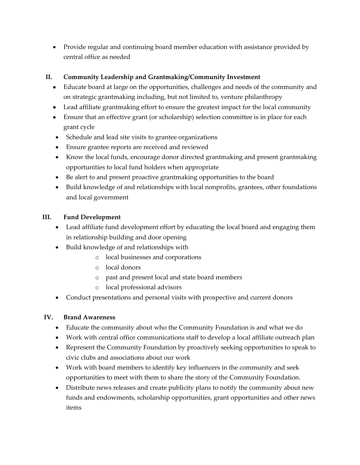• Provide regular and continuing board member education with assistance provided by central office as needed

### **II. Community Leadership and Grantmaking/Community Investment**

- Educate board at large on the opportunities, challenges and needs of the community and on strategic grantmaking including, but not limited to, venture philanthropy
- Lead affiliate grantmaking effort to ensure the greatest impact for the local community
- Ensure that an effective grant (or scholarship) selection committee is in place for each grant cycle
- Schedule and lead site visits to grantee organizations
- Ensure grantee reports are received and reviewed
- Know the local funds, encourage donor directed grantmaking and present grantmaking opportunities to local fund holders when appropriate
- Be alert to and present proactive grantmaking opportunities to the board
- Build knowledge of and relationships with local nonprofits, grantees, other foundations and local government

### **III. Fund Development**

- Lead affiliate fund development effort by educating the local board and engaging them in relationship building and door opening
- Build knowledge of and relationships with
	- o local businesses and corporations
	- o local donors
	- o past and present local and state board members
	- o local professional advisors
- Conduct presentations and personal visits with prospective and current donors

### **IV. Brand Awareness**

- Educate the community about who the Community Foundation is and what we do
- Work with central office communications staff to develop a local affiliate outreach plan
- Represent the Community Foundation by proactively seeking opportunities to speak to civic clubs and associations about our work
- Work with board members to identify key influencers in the community and seek opportunities to meet with them to share the story of the Community Foundation.
- Distribute news releases and create publicity plans to notify the community about new funds and endowments, scholarship opportunities, grant opportunities and other news items